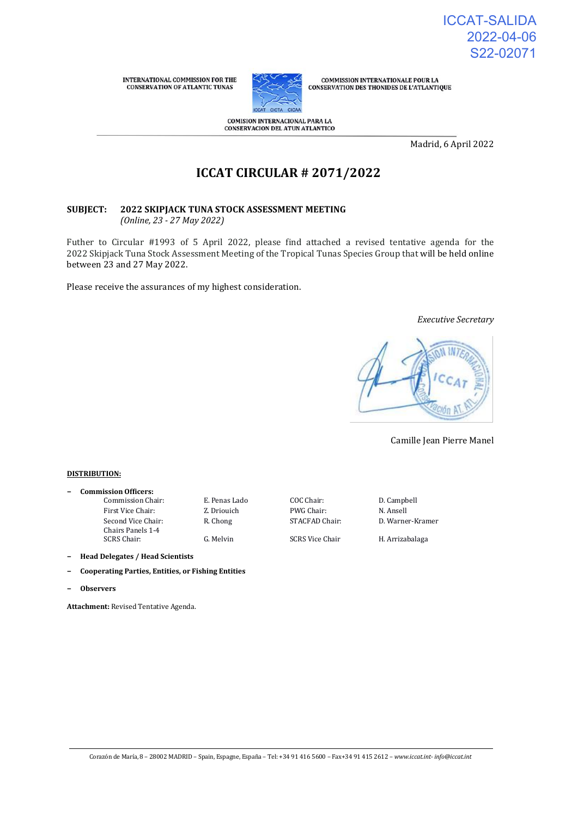

**COMMISSION INTERNATIONALE POUR LA** CONSERVATION DES THONIDES DE L'ATLANTIQUE

**COMISION INTERNACIONAL PARA LA CONSERVACION DEL ATUN ATLANTICO** 

Madrid, 6 April 2022

# **ICCAT CIRCULAR # 2071/2022**

#### **SUBJECT: 2022 SKIPJACK TUNA STOCK ASSESSMENT MEETING** *(Online, 23 - 27 May 2022)*

Futher to Circular #1993 of 5 April 2022, please find attached a revised tentative agenda for the 2022 Skipjack Tuna Stock Assessment Meeting of the Tropical Tunas Species Group that will be held online between 23 and 27 May 2022.

Please receive the assurances of my highest consideration.

#### *Executive Secretary*



Camille Jean Pierre Manel

#### **DISTRIBUTION:**

**− Commission Officers:** Commission Chair: E. Penas Lado COC Chair: D. Campbell First Vice Chair: Z. Driouich PWG Chair: N. Ansell Second Vice Chair: Chairs Panels 1-4

R. Chong STACFAD Chair: D. Warner-Kramer

G. Melvin SCRS Vice Chair H. Arrizabalaga

- **− Head Delegates / Head Scientists**
- **− Cooperating Parties, Entities, or Fishing Entities**
- **− Observers**

**Attachment:** Revised Tentative Agenda.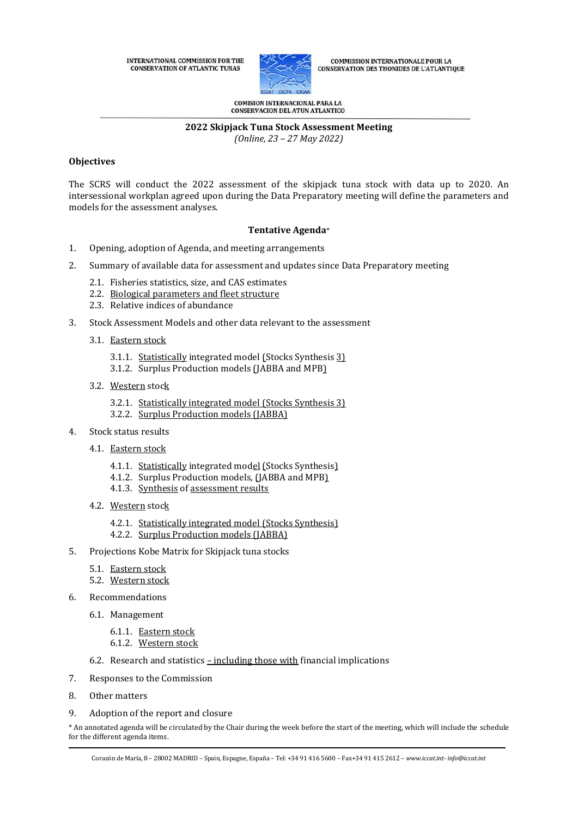

**COMMISSION INTERNATIONALE POUR LA** CONSERVATION DES THONIDES DE L'ATLANTIQUE

**COMISION INTERNACIONAL PARA LA** CONSERVACION DEL ATUN ATLANTICO

# **2022 Skipjack Tuna Stock Assessment Meeting**

*(Online, 23 – 27 May 2022)*

# **Objectives**

The SCRS will conduct the 2022 assessment of the skipjack tuna stock with data up to 2020. An intersessional workplan agreed upon during the Data Preparatory meeting will define the parameters and models for the assessment analyses.

# **Tentative Agenda**\*

- 1. Opening, adoption of Agenda, and meeting arrangements
- 2. Summary of available data for assessment and updates since Data Preparatory meeting
	- 2.1. Fisheries statistics, size, and CAS estimates
	- 2.2. Biological parameters and fleet structure
	- 2.3. Relative indices of abundance
- 3. Stock Assessment Models and other data relevant to the assessment
	- 3.1. Eastern stock
		- 3.1.1. Statistically integrated model (Stocks Synthesis 3)
		- 3.1.2. Surplus Production models (JABBA and MPB)
	- 3.2. Western stock
		- 3.2.1. Statistically integrated model (Stocks Synthesis 3)
		- 3.2.2. Surplus Production models (JABBA)
- 4. Stock status results
	- 4.1. Eastern stock
		- 4.1.1. Statistically integrated model (Stocks Synthesis)
		- 4.1.2. Surplus Production models, (JABBA and MPB)
		- 4.1.3. Synthesis of assessment results
	- 4.2. Western stock
		- 4.2.1. Statistically integrated model (Stocks Synthesis)
		- 4.2.2. Surplus Production models (JABBA)
- 5. Projections Kobe Matrix for Skipjack tuna stocks
	- 5.1. Eastern stock
	- 5.2. Western stock
- 6. Recommendations
	- 6.1. Management
		- 6.1.1. Eastern stock 6.1.2. Western stock
	- 6.2. Research and statistics  $-$  including those with financial implications
- 7. Responses to the Commission
- 8. Other matters
- 9. Adoption of the report and closure

\* An annotated agenda will be circulated by the Chair during the week before the start of the meeting, which will include the schedule for the different agenda items.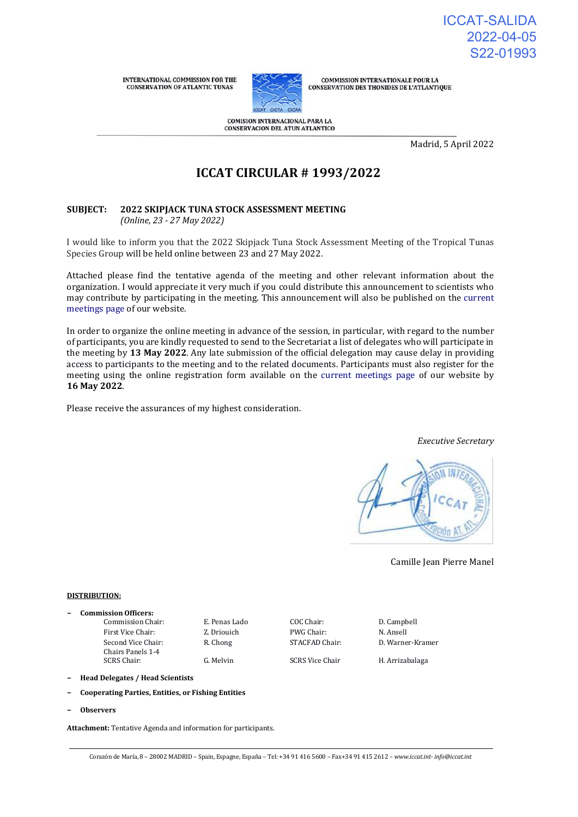

**COMMISSION INTERNATIONALE POUR LA CONSERVATION DES THONIDES DE L'ATLANTIQUE** 

**COMISION INTERNACIONAL PARA LA CONSERVACION DEL ATUN ATLANTICO** 

Madrid, 5 April 2022

# **ICCAT CIRCULAR # 1993/2022**

#### **SUBJECT: 2022 SKIPJACK TUNA STOCK ASSESSMENT MEETING** *(Online, 23 - 27 May 2022)*

I would like to inform you that the 2022 Skipjack Tuna Stock Assessment Meeting of the Tropical Tunas Species Group will be held online between 23 and 27 May 2022.

Attached please find the tentative agenda of the meeting and other relevant information about the organization. I would appreciate it very much if you could distribute this announcement to scientists who may contribute by participating in the meeting. This announcement will also be published on the [current](https://www.iccat.int/en/Meetings.html)  [meetings page o](https://www.iccat.int/en/Meetings.html)f our website.

In order to organize the online meeting in advance of the session, in particular, with regard to the number of participants, you are kindly requested to send to the Secretariat a list of delegates who will participate in the meeting by **13 May 2022**. Any late submission of the official delegation may cause delay in providing access to participants to the meeting and to the related documents. Participants must also register for the meeting using the online registration form available on the [current meetings page o](https://www.iccat.int/en/Meetings.html)f our website by **16 May 2022**.

Please receive the assurances of my highest consideration.

Camille Jean Pierre Manel

*Executive Secretary*

#### **DISTRIBUTION:**

- **− Commission Officers:**
	- First Vice Chair: **Z. Driouich** PWG Chair: **N. Ansell** Second Vice Chair: Chairs Panels 1-4

Commission Chair: E. Penas Lado COC Chair: D. Campbell

R. Chong STACFAD Chair: D. Warner-Kramer

G. Melvin SCRS Vice Chair H. Arrizabalaga

**− Head Delegates / Head Scientists**

- **− Cooperating Parties, Entities, or Fishing Entities**
- **− Observers**

**Attachment:** Tentative Agenda and information for participants.

Corazón de María, 8 – 28002 MADRID – Spain, Espagne, España – Tel: +34 91 416 5600 – Fax+34 91 415 2612 – *www.iccat.int- info@iccat.int*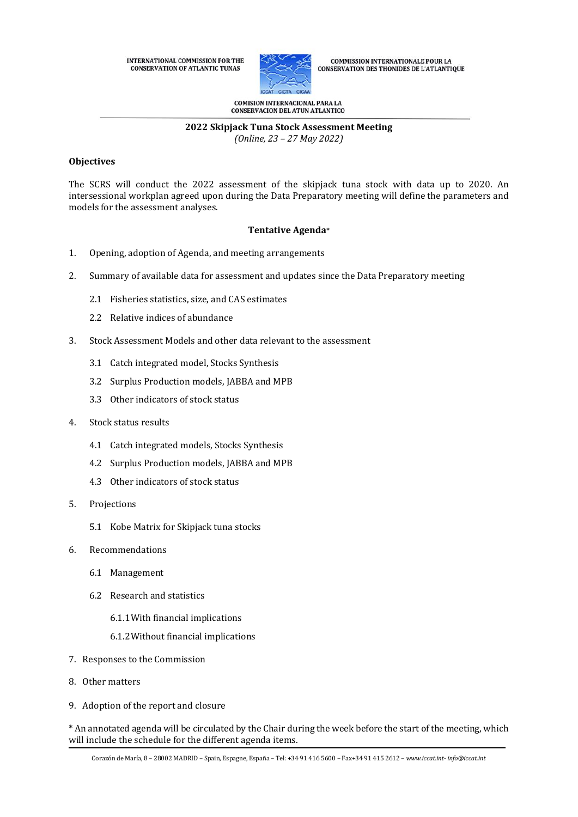

**COMMISSION INTERNATIONALE POUR LA** CONSERVATION DES THONIDES DE L'ATLANTIQUE

**COMISION INTERNACIONAL PARA LA** CONSERVACION DEL ATUN ATLANTICO

#### **2022 Skipjack Tuna Stock Assessment Meeting** *(Online, 23 – 27 May 2022)*

### **Objectives**

The SCRS will conduct the 2022 assessment of the skipjack tuna stock with data up to 2020. An intersessional workplan agreed upon during the Data Preparatory meeting will define the parameters and models for the assessment analyses.

# **Tentative Agenda**\*

- 1. Opening, adoption of Agenda, and meeting arrangements
- 2. Summary of available data for assessment and updates since the Data Preparatory meeting
	- 2.1 Fisheries statistics, size, and CAS estimates
	- 2.2 Relative indices of abundance
- 3. Stock Assessment Models and other data relevant to the assessment
	- 3.1 Catch integrated model, Stocks Synthesis
	- 3.2 Surplus Production models, JABBA and MPB
	- 3.3 Other indicators of stock status
- 4. Stock status results
	- 4.1 Catch integrated models, Stocks Synthesis
	- 4.2 Surplus Production models, JABBA and MPB
	- 4.3 Other indicators of stock status
- 5. Projections
	- 5.1 Kobe Matrix for Skipjack tuna stocks
- 6. Recommendations
	- 6.1 Management
	- 6.2 Research and statistics
		- 6.1.1With financial implications
		- 6.1.2Without financial implications
- 7. Responses to the Commission
- 8. Other matters
- 9. Adoption of the report and closure

\* An annotated agenda will be circulated by the Chair during the week before the start of the meeting, which will include the schedule for the different agenda items.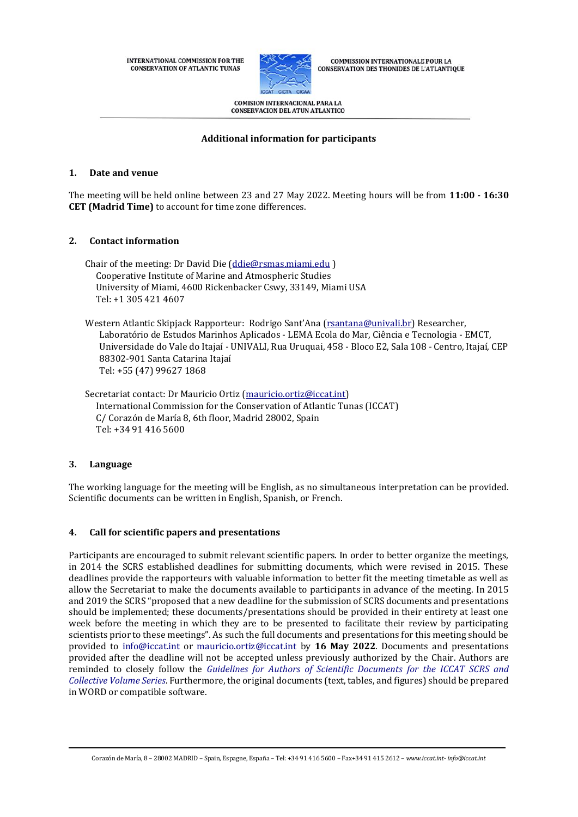

**COMMISSION INTERNATIONALE POUR LA CONSERVATION DES THONIDES DE L'ATLANTIQUE** 

**COMISION INTERNACIONAL PARA LA CONSERVACION DEL ATUN ATLANTICO** 

# **Additional information for participants**

# **1. Date and venue**

The meeting will be held online between 23 and 27 May 2022. Meeting hours will be from **11:00 - 16:30 CET (Madrid Time)** to account for time zone differences.

# **2. Contact information**

Chair of the meeting: Dr David Die [\(ddie@rsmas.miami.edu](mailto:ddie@rsmas.miami.edu) ) Cooperative Institute of Marine and Atmospheric Studies University of Miami, 4600 Rickenbacker Cswy, 33149, Miami USA Tel: +1 305 421 4607

Western Atlantic Skipjack Rapporteur: Rodrigo Sant'Ana ([rsantana@univali.br\)](mailto:rsantana@univali.br) Researcher, Laboratório de Estudos Marinhos Aplicados - LEMA Ecola do Mar, Ciência e Tecnologia - EMCT, Universidade do Vale do Itajaí - UNIVALI, Rua Uruquai, 458 - Bloco E2, Sala 108 - Centro, Itajaí, CEP 88302-901 Santa Catarina Itajaí Tel: +55 (47) 99627 1868

Secretariat contact: Dr Mauricio Ortiz [\(mauricio.ortiz@iccat.int\)](mailto:mauricio.ortiz@iccat.int) International Commission for the Conservation of Atlantic Tunas (ICCAT) C/ Corazón de María 8, 6th floor, Madrid 28002, Spain Tel: +34 91 416 5600

# **3. Language**

The working language for the meeting will be English, as no simultaneous interpretation can be provided. Scientific documents can be written in English, Spanish, or French.

# **4. Call for scientific papers and presentations**

Participants are encouraged to submit relevant scientific papers. In order to better organize the meetings, in 2014 the SCRS established deadlines for submitting documents, which were revised in 2015. These deadlines provide the rapporteurs with valuable information to better fit the meeting timetable as well as allow the Secretariat to make the documents available to participants in advance of the meeting. In 2015 and 2019 the SCRS "proposed that a new deadline for the submission of SCRS documents and presentations should be implemented; these documents/presentations should be provided in their entirety at least one week before the meeting in which they are to be presented to facilitate their review by participating scientists prior to these meetings". As such the full documents and presentations for this meeting should be provided to [info@iccat.int](mailto:info@iccat.int) or [mauricio.ortiz@iccat.int](mailto:mauricio.ortiz@iccat.int) by **16 May 2022**. Documents and presentations provided after the deadline will not be accepted unless previously authorized by the Chair. Authors are reminded to closely follow the *[Guidelines for Authors of Scientific Documents](https://www.iccat.int/Documents/SCRS/Other/Guide_ColVol_ENG.pdf) for the ICCAT SCRS and [Collective Volume Series](https://www.iccat.int/Documents/SCRS/Other/Guide_ColVol_ENG.pdf)*. Furthermore, the original documents (text, tables, and figures) should be prepared in WORD or compatible software.